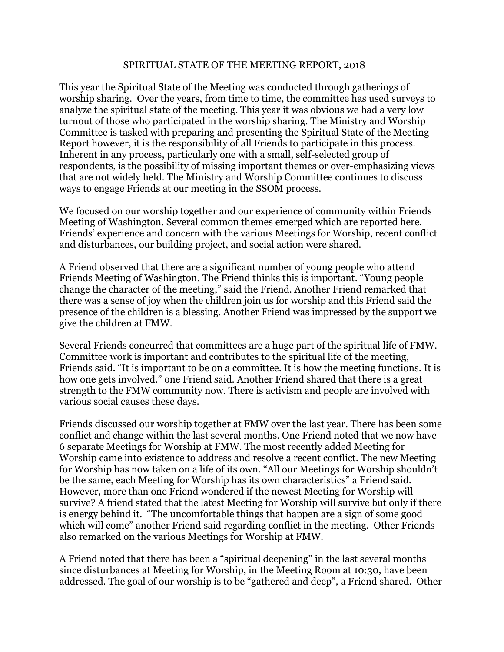## SPIRITUAL STATE OF THE MEETING REPORT, 2018

This year the Spiritual State of the Meeting was conducted through gatherings of worship sharing. Over the years, from time to time, the committee has used surveys to analyze the spiritual state of the meeting. This year it was obvious we had a very low turnout of those who participated in the worship sharing. The Ministry and Worship Committee is tasked with preparing and presenting the Spiritual State of the Meeting Report however, it is the responsibility of all Friends to participate in this process. Inherent in any process, particularly one with a small, self-selected group of respondents, is the possibility of missing important themes or over-emphasizing views that are not widely held. The Ministry and Worship Committee continues to discuss ways to engage Friends at our meeting in the SSOM process.

We focused on our worship together and our experience of community within Friends Meeting of Washington. Several common themes emerged which are reported here. Friends' experience and concern with the various Meetings for Worship, recent conflict and disturbances, our building project, and social action were shared.

A Friend observed that there are a significant number of young people who attend Friends Meeting of Washington. The Friend thinks this is important. "Young people change the character of the meeting," said the Friend. Another Friend remarked that there was a sense of joy when the children join us for worship and this Friend said the presence of the children is a blessing. Another Friend was impressed by the support we give the children at FMW.

Several Friends concurred that committees are a huge part of the spiritual life of FMW. Committee work is important and contributes to the spiritual life of the meeting, Friends said. "It is important to be on a committee. It is how the meeting functions. It is how one gets involved." one Friend said. Another Friend shared that there is a great strength to the FMW community now. There is activism and people are involved with various social causes these days.

Friends discussed our worship together at FMW over the last year. There has been some conflict and change within the last several months. One Friend noted that we now have 6 separate Meetings for Worship at FMW. The most recently added Meeting for Worship came into existence to address and resolve a recent conflict. The new Meeting for Worship has now taken on a life of its own. "All our Meetings for Worship shouldn't be the same, each Meeting for Worship has its own characteristics" a Friend said. However, more than one Friend wondered if the newest Meeting for Worship will survive? A friend stated that the latest Meeting for Worship will survive but only if there is energy behind it. "The uncomfortable things that happen are a sign of some good which will come" another Friend said regarding conflict in the meeting. Other Friends also remarked on the various Meetings for Worship at FMW.

A Friend noted that there has been a "spiritual deepening" in the last several months since disturbances at Meeting for Worship, in the Meeting Room at 10:30, have been addressed. The goal of our worship is to be "gathered and deep", a Friend shared. Other